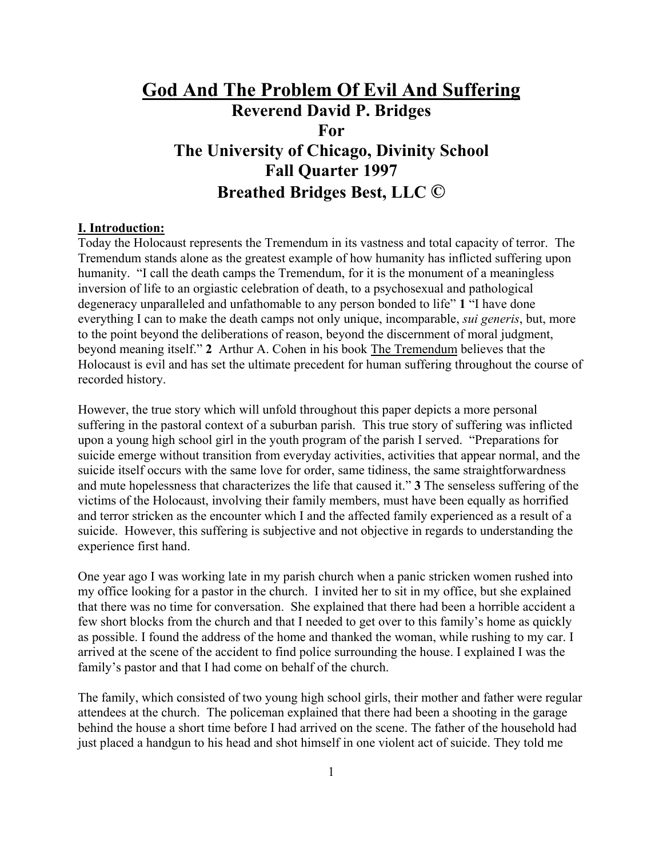# **God And The Problem Of Evil And Suffering Reverend David P. Bridges For The University of Chicago, Divinity School Fall Quarter 1997 Breathed Bridges Best, LLC ©**

#### **I. Introduction:**

Today the Holocaust represents the Tremendum in its vastness and total capacity of terror. The Tremendum stands alone as the greatest example of how humanity has inflicted suffering upon humanity. "I call the death camps the Tremendum, for it is the monument of a meaningless inversion of life to an orgiastic celebration of death, to a psychosexual and pathological degeneracy unparalleled and unfathomable to any person bonded to life" **1** "I have done everything I can to make the death camps not only unique, incomparable, *sui generis*, but, more to the point beyond the deliberations of reason, beyond the discernment of moral judgment, beyond meaning itself." **2** Arthur A. Cohen in his book The Tremendum believes that the Holocaust is evil and has set the ultimate precedent for human suffering throughout the course of recorded history.

However, the true story which will unfold throughout this paper depicts a more personal suffering in the pastoral context of a suburban parish. This true story of suffering was inflicted upon a young high school girl in the youth program of the parish I served. "Preparations for suicide emerge without transition from everyday activities, activities that appear normal, and the suicide itself occurs with the same love for order, same tidiness, the same straightforwardness and mute hopelessness that characterizes the life that caused it." **3** The senseless suffering of the victims of the Holocaust, involving their family members, must have been equally as horrified and terror stricken as the encounter which I and the affected family experienced as a result of a suicide. However, this suffering is subjective and not objective in regards to understanding the experience first hand.

One year ago I was working late in my parish church when a panic stricken women rushed into my office looking for a pastor in the church. I invited her to sit in my office, but she explained that there was no time for conversation. She explained that there had been a horrible accident a few short blocks from the church and that I needed to get over to this family's home as quickly as possible. I found the address of the home and thanked the woman, while rushing to my car. I arrived at the scene of the accident to find police surrounding the house. I explained I was the family's pastor and that I had come on behalf of the church.

The family, which consisted of two young high school girls, their mother and father were regular attendees at the church. The policeman explained that there had been a shooting in the garage behind the house a short time before I had arrived on the scene. The father of the household had just placed a handgun to his head and shot himself in one violent act of suicide. They told me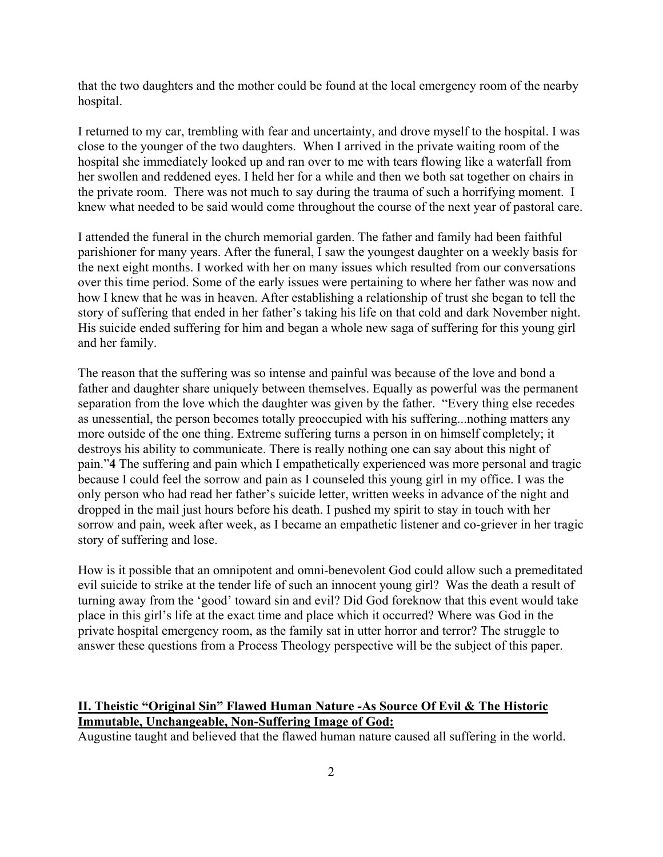that the two daughters and the mother could be found at the local emergency room of the nearby hospital.

I returned to my car, trembling with fear and uncertainty, and drove myself to the hospital. I was close to the younger of the two daughters. When I arrived in the private waiting room of the hospital she immediately looked up and ran over to me with tears flowing like a waterfall from her swollen and reddened eyes. I held her for a while and then we both sat together on chairs in the private room. There was not much to say during the trauma of such a horrifying moment. I knew what needed to be said would come throughout the course of the next year of pastoral care.

I attended the funeral in the church memorial garden. The father and family had been faithful parishioner for many years. After the funeral, I saw the youngest daughter on a weekly basis for the next eight months. I worked with her on many issues which resulted from our conversations over this time period. Some of the early issues were pertaining to where her father was now and how I knew that he was in heaven. After establishing a relationship of trust she began to tell the story of suffering that ended in her father's taking his life on that cold and dark November night. His suicide ended suffering for him and began a whole new saga of suffering for this young girl and her family.

The reason that the suffering was so intense and painful was because of the love and bond a father and daughter share uniquely between themselves. Equally as powerful was the permanent separation from the love which the daughter was given by the father. "Every thing else recedes as unessential, the person becomes totally preoccupied with his suffering...nothing matters any more outside of the one thing. Extreme suffering turns a person in on himself completely; it destroys his ability to communicate. There is really nothing one can say about this night of pain."**4** The suffering and pain which I empathetically experienced was more personal and tragic because I could feel the sorrow and pain as I counseled this young girl in my office. I was the only person who had read her father's suicide letter, written weeks in advance of the night and dropped in the mail just hours before his death. I pushed my spirit to stay in touch with her sorrow and pain, week after week, as I became an empathetic listener and co-griever in her tragic story of suffering and lose.

How is it possible that an omnipotent and omni-benevolent God could allow such a premeditated evil suicide to strike at the tender life of such an innocent young girl? Was the death a result of turning away from the 'good' toward sin and evil? Did God foreknow that this event would take place in this girl's life at the exact time and place which it occurred? Where was God in the private hospital emergency room, as the family sat in utter horror and terror? The struggle to answer these questions from a Process Theology perspective will be the subject of this paper.

### **II. Theistic "Original Sin" Flawed Human Nature -As Source Of Evil & The Historic Immutable, Unchangeable, Non-Suffering Image of God:**

Augustine taught and believed that the flawed human nature caused all suffering in the world.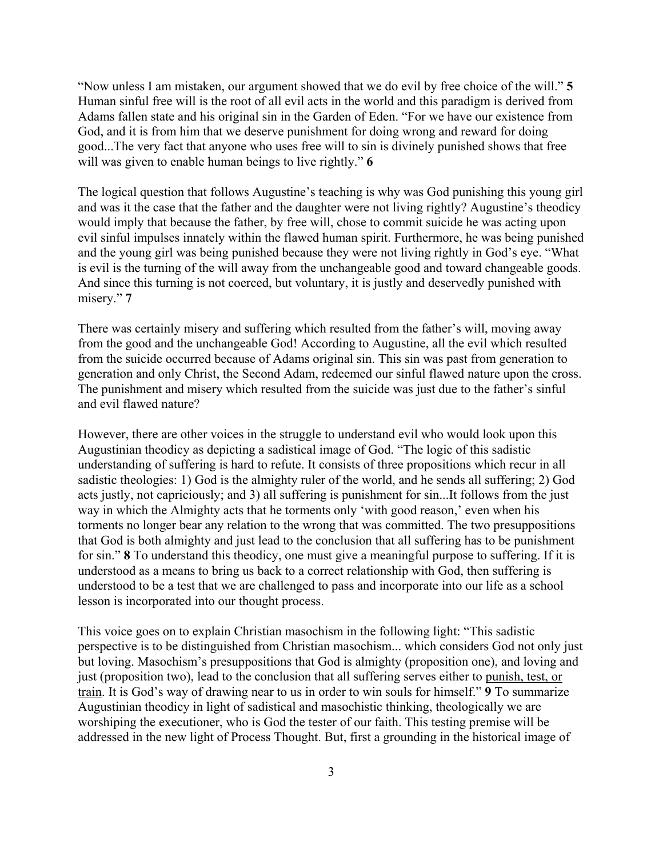"Now unless I am mistaken, our argument showed that we do evil by free choice of the will." **5**  Human sinful free will is the root of all evil acts in the world and this paradigm is derived from Adams fallen state and his original sin in the Garden of Eden. "For we have our existence from God, and it is from him that we deserve punishment for doing wrong and reward for doing good...The very fact that anyone who uses free will to sin is divinely punished shows that free will was given to enable human beings to live rightly." **6**

The logical question that follows Augustine's teaching is why was God punishing this young girl and was it the case that the father and the daughter were not living rightly? Augustine's theodicy would imply that because the father, by free will, chose to commit suicide he was acting upon evil sinful impulses innately within the flawed human spirit. Furthermore, he was being punished and the young girl was being punished because they were not living rightly in God's eye. "What is evil is the turning of the will away from the unchangeable good and toward changeable goods. And since this turning is not coerced, but voluntary, it is justly and deservedly punished with misery." **7**

There was certainly misery and suffering which resulted from the father's will, moving away from the good and the unchangeable God! According to Augustine, all the evil which resulted from the suicide occurred because of Adams original sin. This sin was past from generation to generation and only Christ, the Second Adam, redeemed our sinful flawed nature upon the cross. The punishment and misery which resulted from the suicide was just due to the father's sinful and evil flawed nature?

However, there are other voices in the struggle to understand evil who would look upon this Augustinian theodicy as depicting a sadistical image of God. "The logic of this sadistic understanding of suffering is hard to refute. It consists of three propositions which recur in all sadistic theologies: 1) God is the almighty ruler of the world, and he sends all suffering; 2) God acts justly, not capriciously; and 3) all suffering is punishment for sin...It follows from the just way in which the Almighty acts that he torments only 'with good reason,' even when his torments no longer bear any relation to the wrong that was committed. The two presuppositions that God is both almighty and just lead to the conclusion that all suffering has to be punishment for sin." **8** To understand this theodicy, one must give a meaningful purpose to suffering. If it is understood as a means to bring us back to a correct relationship with God, then suffering is understood to be a test that we are challenged to pass and incorporate into our life as a school lesson is incorporated into our thought process.

This voice goes on to explain Christian masochism in the following light: "This sadistic perspective is to be distinguished from Christian masochism... which considers God not only just but loving. Masochism's presuppositions that God is almighty (proposition one), and loving and just (proposition two), lead to the conclusion that all suffering serves either to punish, test, or train. It is God's way of drawing near to us in order to win souls for himself." **9** To summarize Augustinian theodicy in light of sadistical and masochistic thinking, theologically we are worshiping the executioner, who is God the tester of our faith. This testing premise will be addressed in the new light of Process Thought. But, first a grounding in the historical image of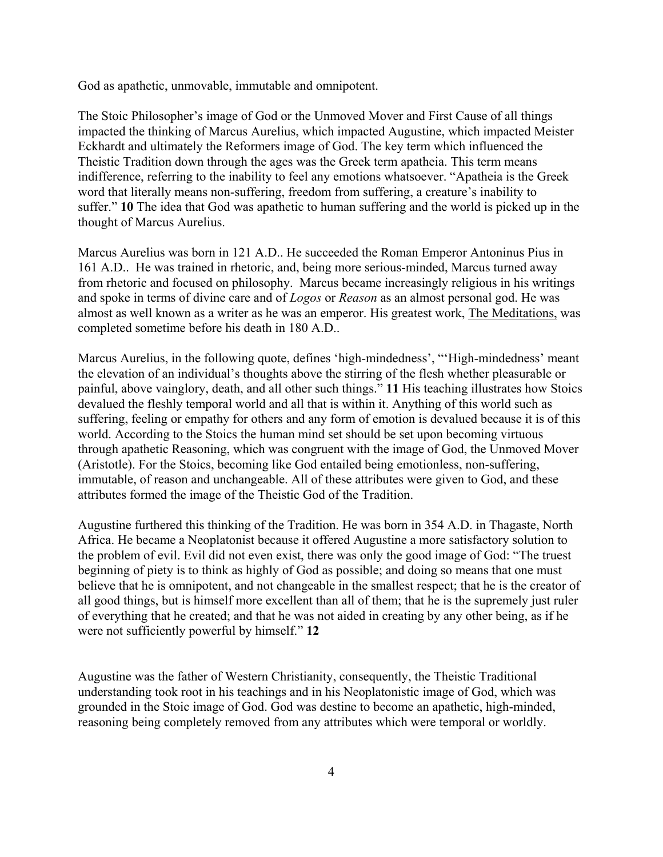God as apathetic, unmovable, immutable and omnipotent.

The Stoic Philosopher's image of God or the Unmoved Mover and First Cause of all things impacted the thinking of Marcus Aurelius, which impacted Augustine, which impacted Meister Eckhardt and ultimately the Reformers image of God. The key term which influenced the Theistic Tradition down through the ages was the Greek term apatheia. This term means indifference, referring to the inability to feel any emotions whatsoever. "Apatheia is the Greek word that literally means non-suffering, freedom from suffering, a creature's inability to suffer." **10** The idea that God was apathetic to human suffering and the world is picked up in the thought of Marcus Aurelius.

Marcus Aurelius was born in 121 A.D.. He succeeded the Roman Emperor Antoninus Pius in 161 A.D.. He was trained in rhetoric, and, being more serious-minded, Marcus turned away from rhetoric and focused on philosophy. Marcus became increasingly religious in his writings and spoke in terms of divine care and of *Logos* or *Reason* as an almost personal god. He was almost as well known as a writer as he was an emperor. His greatest work, The Meditations, was completed sometime before his death in 180 A.D..

Marcus Aurelius, in the following quote, defines 'high-mindedness', "'High-mindedness' meant the elevation of an individual's thoughts above the stirring of the flesh whether pleasurable or painful, above vainglory, death, and all other such things." **11** His teaching illustrates how Stoics devalued the fleshly temporal world and all that is within it. Anything of this world such as suffering, feeling or empathy for others and any form of emotion is devalued because it is of this world. According to the Stoics the human mind set should be set upon becoming virtuous through apathetic Reasoning, which was congruent with the image of God, the Unmoved Mover (Aristotle). For the Stoics, becoming like God entailed being emotionless, non-suffering, immutable, of reason and unchangeable. All of these attributes were given to God, and these attributes formed the image of the Theistic God of the Tradition.

Augustine furthered this thinking of the Tradition. He was born in 354 A.D. in Thagaste, North Africa. He became a Neoplatonist because it offered Augustine a more satisfactory solution to the problem of evil. Evil did not even exist, there was only the good image of God: "The truest beginning of piety is to think as highly of God as possible; and doing so means that one must believe that he is omnipotent, and not changeable in the smallest respect; that he is the creator of all good things, but is himself more excellent than all of them; that he is the supremely just ruler of everything that he created; and that he was not aided in creating by any other being, as if he were not sufficiently powerful by himself." **12** 

Augustine was the father of Western Christianity, consequently, the Theistic Traditional understanding took root in his teachings and in his Neoplatonistic image of God, which was grounded in the Stoic image of God. God was destine to become an apathetic, high-minded, reasoning being completely removed from any attributes which were temporal or worldly.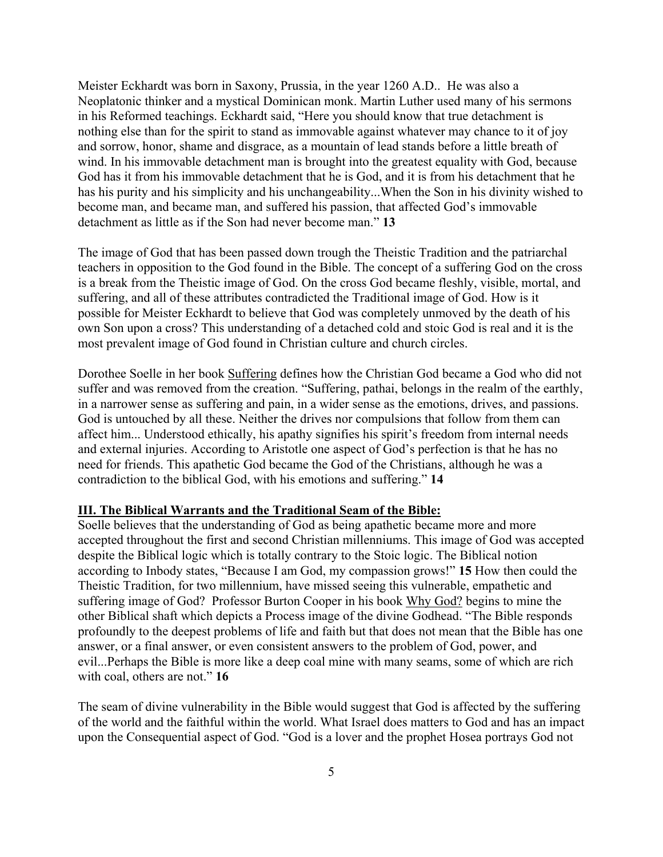Meister Eckhardt was born in Saxony, Prussia, in the year 1260 A.D.. He was also a Neoplatonic thinker and a mystical Dominican monk. Martin Luther used many of his sermons in his Reformed teachings. Eckhardt said, "Here you should know that true detachment is nothing else than for the spirit to stand as immovable against whatever may chance to it of joy and sorrow, honor, shame and disgrace, as a mountain of lead stands before a little breath of wind. In his immovable detachment man is brought into the greatest equality with God, because God has it from his immovable detachment that he is God, and it is from his detachment that he has his purity and his simplicity and his unchangeability...When the Son in his divinity wished to become man, and became man, and suffered his passion, that affected God's immovable detachment as little as if the Son had never become man." **13**

The image of God that has been passed down trough the Theistic Tradition and the patriarchal teachers in opposition to the God found in the Bible. The concept of a suffering God on the cross is a break from the Theistic image of God. On the cross God became fleshly, visible, mortal, and suffering, and all of these attributes contradicted the Traditional image of God. How is it possible for Meister Eckhardt to believe that God was completely unmoved by the death of his own Son upon a cross? This understanding of a detached cold and stoic God is real and it is the most prevalent image of God found in Christian culture and church circles.

Dorothee Soelle in her book Suffering defines how the Christian God became a God who did not suffer and was removed from the creation. "Suffering, pathai, belongs in the realm of the earthly, in a narrower sense as suffering and pain, in a wider sense as the emotions, drives, and passions. God is untouched by all these. Neither the drives nor compulsions that follow from them can affect him... Understood ethically, his apathy signifies his spirit's freedom from internal needs and external injuries. According to Aristotle one aspect of God's perfection is that he has no need for friends. This apathetic God became the God of the Christians, although he was a contradiction to the biblical God, with his emotions and suffering." **14**

#### **III. The Biblical Warrants and the Traditional Seam of the Bible:**

Soelle believes that the understanding of God as being apathetic became more and more accepted throughout the first and second Christian millenniums. This image of God was accepted despite the Biblical logic which is totally contrary to the Stoic logic. The Biblical notion according to Inbody states, "Because I am God, my compassion grows!" **15** How then could the Theistic Tradition, for two millennium, have missed seeing this vulnerable, empathetic and suffering image of God? Professor Burton Cooper in his book Why God? begins to mine the other Biblical shaft which depicts a Process image of the divine Godhead. "The Bible responds profoundly to the deepest problems of life and faith but that does not mean that the Bible has one answer, or a final answer, or even consistent answers to the problem of God, power, and evil...Perhaps the Bible is more like a deep coal mine with many seams, some of which are rich with coal, others are not." **16**

The seam of divine vulnerability in the Bible would suggest that God is affected by the suffering of the world and the faithful within the world. What Israel does matters to God and has an impact upon the Consequential aspect of God. "God is a lover and the prophet Hosea portrays God not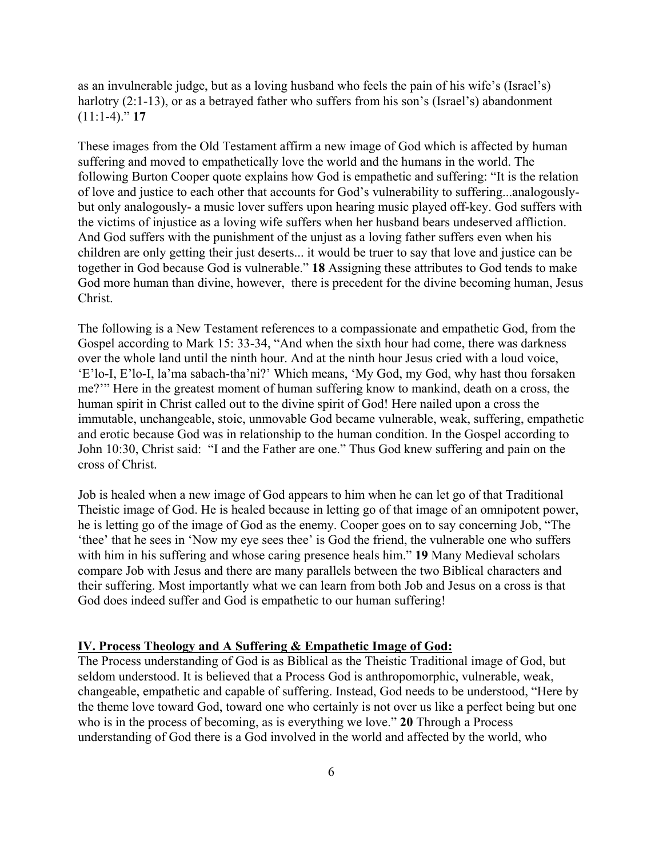as an invulnerable judge, but as a loving husband who feels the pain of his wife's (Israel's) harlotry (2:1-13), or as a betrayed father who suffers from his son's (Israel's) abandonment (11:1-4)." **17**

These images from the Old Testament affirm a new image of God which is affected by human suffering and moved to empathetically love the world and the humans in the world. The following Burton Cooper quote explains how God is empathetic and suffering: "It is the relation of love and justice to each other that accounts for God's vulnerability to suffering...analogouslybut only analogously- a music lover suffers upon hearing music played off-key. God suffers with the victims of injustice as a loving wife suffers when her husband bears undeserved affliction. And God suffers with the punishment of the unjust as a loving father suffers even when his children are only getting their just deserts... it would be truer to say that love and justice can be together in God because God is vulnerable." **18** Assigning these attributes to God tends to make God more human than divine, however, there is precedent for the divine becoming human, Jesus Christ.

The following is a New Testament references to a compassionate and empathetic God, from the Gospel according to Mark 15: 33-34, "And when the sixth hour had come, there was darkness over the whole land until the ninth hour. And at the ninth hour Jesus cried with a loud voice, 'E'lo-I, E'lo-I, la'ma sabach-tha'ni?' Which means, 'My God, my God, why hast thou forsaken me?'" Here in the greatest moment of human suffering know to mankind, death on a cross, the human spirit in Christ called out to the divine spirit of God! Here nailed upon a cross the immutable, unchangeable, stoic, unmovable God became vulnerable, weak, suffering, empathetic and erotic because God was in relationship to the human condition. In the Gospel according to John 10:30, Christ said: "I and the Father are one." Thus God knew suffering and pain on the cross of Christ.

Job is healed when a new image of God appears to him when he can let go of that Traditional Theistic image of God. He is healed because in letting go of that image of an omnipotent power, he is letting go of the image of God as the enemy. Cooper goes on to say concerning Job, "The 'thee' that he sees in 'Now my eye sees thee' is God the friend, the vulnerable one who suffers with him in his suffering and whose caring presence heals him." **19** Many Medieval scholars compare Job with Jesus and there are many parallels between the two Biblical characters and their suffering. Most importantly what we can learn from both Job and Jesus on a cross is that God does indeed suffer and God is empathetic to our human suffering!

#### **IV. Process Theology and A Suffering & Empathetic Image of God:**

The Process understanding of God is as Biblical as the Theistic Traditional image of God, but seldom understood. It is believed that a Process God is anthropomorphic, vulnerable, weak, changeable, empathetic and capable of suffering. Instead, God needs to be understood, "Here by the theme love toward God, toward one who certainly is not over us like a perfect being but one who is in the process of becoming, as is everything we love." **20** Through a Process understanding of God there is a God involved in the world and affected by the world, who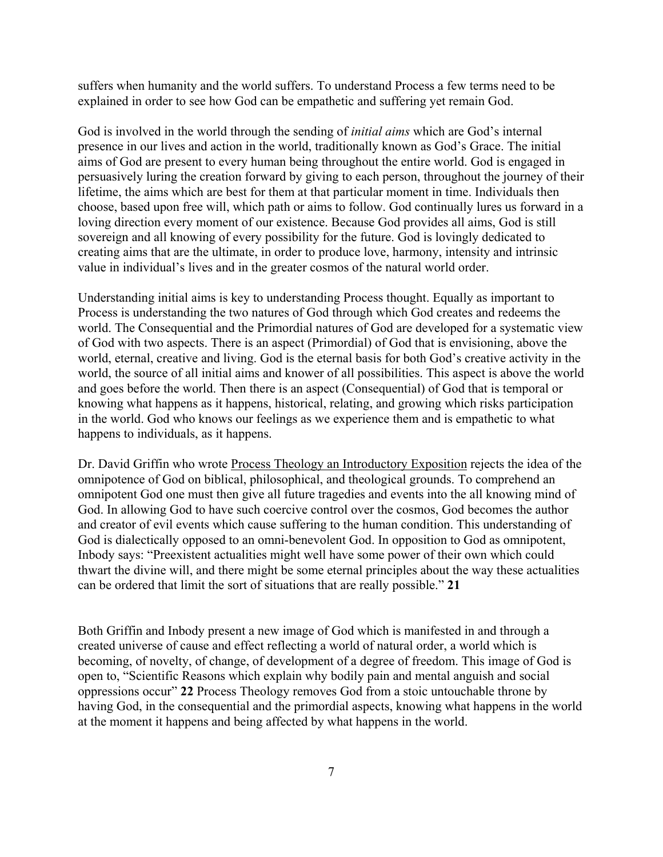suffers when humanity and the world suffers. To understand Process a few terms need to be explained in order to see how God can be empathetic and suffering yet remain God.

God is involved in the world through the sending of *initial aims* which are God's internal presence in our lives and action in the world, traditionally known as God's Grace. The initial aims of God are present to every human being throughout the entire world. God is engaged in persuasively luring the creation forward by giving to each person, throughout the journey of their lifetime, the aims which are best for them at that particular moment in time. Individuals then choose, based upon free will, which path or aims to follow. God continually lures us forward in a loving direction every moment of our existence. Because God provides all aims, God is still sovereign and all knowing of every possibility for the future. God is lovingly dedicated to creating aims that are the ultimate, in order to produce love, harmony, intensity and intrinsic value in individual's lives and in the greater cosmos of the natural world order.

Understanding initial aims is key to understanding Process thought. Equally as important to Process is understanding the two natures of God through which God creates and redeems the world. The Consequential and the Primordial natures of God are developed for a systematic view of God with two aspects. There is an aspect (Primordial) of God that is envisioning, above the world, eternal, creative and living. God is the eternal basis for both God's creative activity in the world, the source of all initial aims and knower of all possibilities. This aspect is above the world and goes before the world. Then there is an aspect (Consequential) of God that is temporal or knowing what happens as it happens, historical, relating, and growing which risks participation in the world. God who knows our feelings as we experience them and is empathetic to what happens to individuals, as it happens.

Dr. David Griffin who wrote Process Theology an Introductory Exposition rejects the idea of the omnipotence of God on biblical, philosophical, and theological grounds. To comprehend an omnipotent God one must then give all future tragedies and events into the all knowing mind of God. In allowing God to have such coercive control over the cosmos, God becomes the author and creator of evil events which cause suffering to the human condition. This understanding of God is dialectically opposed to an omni-benevolent God. In opposition to God as omnipotent, Inbody says: "Preexistent actualities might well have some power of their own which could thwart the divine will, and there might be some eternal principles about the way these actualities can be ordered that limit the sort of situations that are really possible." **21**

Both Griffin and Inbody present a new image of God which is manifested in and through a created universe of cause and effect reflecting a world of natural order, a world which is becoming, of novelty, of change, of development of a degree of freedom. This image of God is open to, "Scientific Reasons which explain why bodily pain and mental anguish and social oppressions occur" **22** Process Theology removes God from a stoic untouchable throne by having God, in the consequential and the primordial aspects, knowing what happens in the world at the moment it happens and being affected by what happens in the world.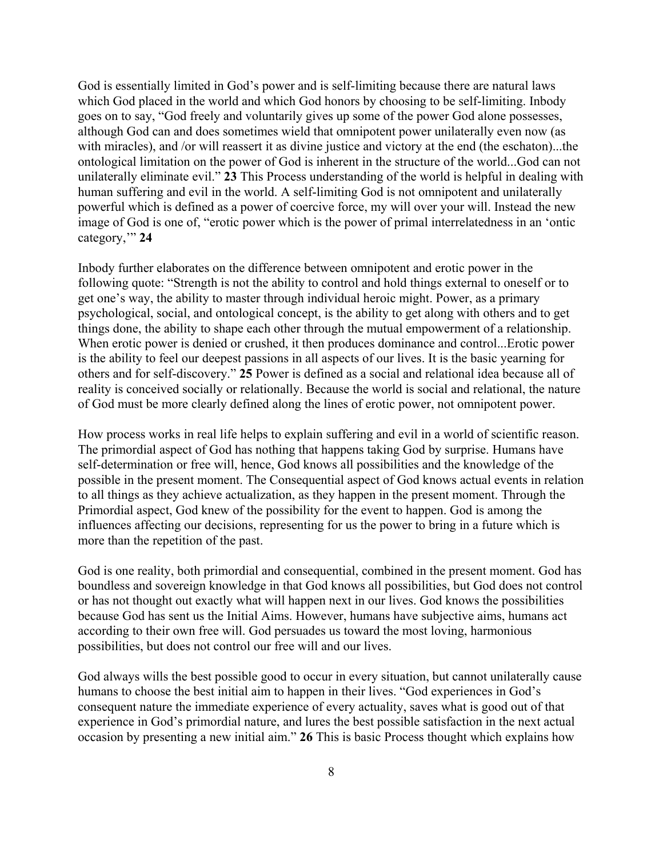God is essentially limited in God's power and is self-limiting because there are natural laws which God placed in the world and which God honors by choosing to be self-limiting. Inbody goes on to say, "God freely and voluntarily gives up some of the power God alone possesses, although God can and does sometimes wield that omnipotent power unilaterally even now (as with miracles), and /or will reassert it as divine justice and victory at the end (the eschaton)...the ontological limitation on the power of God is inherent in the structure of the world...God can not unilaterally eliminate evil." **23** This Process understanding of the world is helpful in dealing with human suffering and evil in the world. A self-limiting God is not omnipotent and unilaterally powerful which is defined as a power of coercive force, my will over your will. Instead the new image of God is one of, "erotic power which is the power of primal interrelatedness in an 'ontic category,'" **24**

Inbody further elaborates on the difference between omnipotent and erotic power in the following quote: "Strength is not the ability to control and hold things external to oneself or to get one's way, the ability to master through individual heroic might. Power, as a primary psychological, social, and ontological concept, is the ability to get along with others and to get things done, the ability to shape each other through the mutual empowerment of a relationship. When erotic power is denied or crushed, it then produces dominance and control...Erotic power is the ability to feel our deepest passions in all aspects of our lives. It is the basic yearning for others and for self-discovery." **25** Power is defined as a social and relational idea because all of reality is conceived socially or relationally. Because the world is social and relational, the nature of God must be more clearly defined along the lines of erotic power, not omnipotent power.

How process works in real life helps to explain suffering and evil in a world of scientific reason. The primordial aspect of God has nothing that happens taking God by surprise. Humans have self-determination or free will, hence, God knows all possibilities and the knowledge of the possible in the present moment. The Consequential aspect of God knows actual events in relation to all things as they achieve actualization, as they happen in the present moment. Through the Primordial aspect, God knew of the possibility for the event to happen. God is among the influences affecting our decisions, representing for us the power to bring in a future which is more than the repetition of the past.

God is one reality, both primordial and consequential, combined in the present moment. God has boundless and sovereign knowledge in that God knows all possibilities, but God does not control or has not thought out exactly what will happen next in our lives. God knows the possibilities because God has sent us the Initial Aims. However, humans have subjective aims, humans act according to their own free will. God persuades us toward the most loving, harmonious possibilities, but does not control our free will and our lives.

God always wills the best possible good to occur in every situation, but cannot unilaterally cause humans to choose the best initial aim to happen in their lives. "God experiences in God's consequent nature the immediate experience of every actuality, saves what is good out of that experience in God's primordial nature, and lures the best possible satisfaction in the next actual occasion by presenting a new initial aim." **26** This is basic Process thought which explains how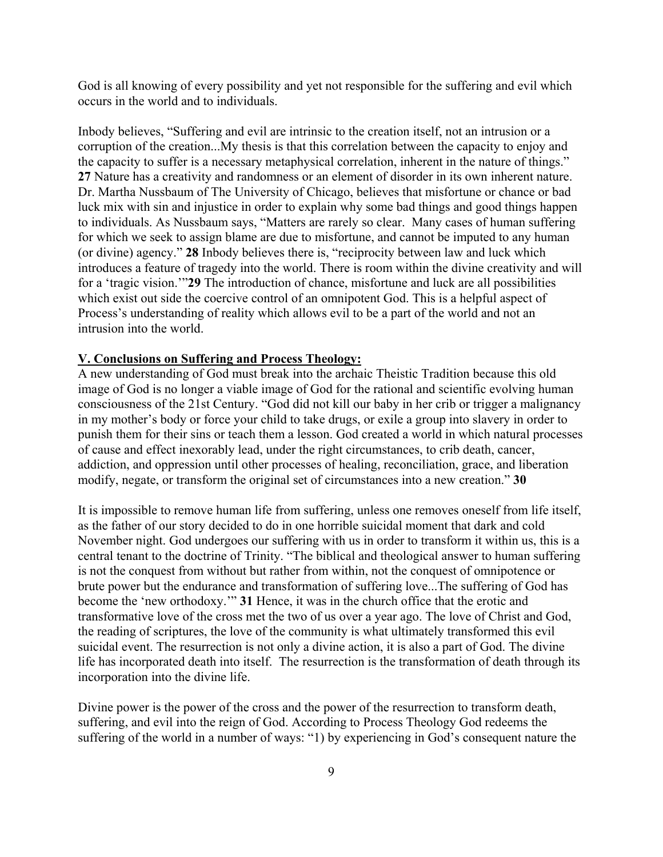God is all knowing of every possibility and yet not responsible for the suffering and evil which occurs in the world and to individuals.

Inbody believes, "Suffering and evil are intrinsic to the creation itself, not an intrusion or a corruption of the creation...My thesis is that this correlation between the capacity to enjoy and the capacity to suffer is a necessary metaphysical correlation, inherent in the nature of things." **27** Nature has a creativity and randomness or an element of disorder in its own inherent nature. Dr. Martha Nussbaum of The University of Chicago, believes that misfortune or chance or bad luck mix with sin and injustice in order to explain why some bad things and good things happen to individuals. As Nussbaum says, "Matters are rarely so clear. Many cases of human suffering for which we seek to assign blame are due to misfortune, and cannot be imputed to any human (or divine) agency." **28** Inbody believes there is, "reciprocity between law and luck which introduces a feature of tragedy into the world. There is room within the divine creativity and will for a 'tragic vision.'"**29** The introduction of chance, misfortune and luck are all possibilities which exist out side the coercive control of an omnipotent God. This is a helpful aspect of Process's understanding of reality which allows evil to be a part of the world and not an intrusion into the world.

## **V. Conclusions on Suffering and Process Theology:**

A new understanding of God must break into the archaic Theistic Tradition because this old image of God is no longer a viable image of God for the rational and scientific evolving human consciousness of the 21st Century. "God did not kill our baby in her crib or trigger a malignancy in my mother's body or force your child to take drugs, or exile a group into slavery in order to punish them for their sins or teach them a lesson. God created a world in which natural processes of cause and effect inexorably lead, under the right circumstances, to crib death, cancer, addiction, and oppression until other processes of healing, reconciliation, grace, and liberation modify, negate, or transform the original set of circumstances into a new creation." **30**

It is impossible to remove human life from suffering, unless one removes oneself from life itself, as the father of our story decided to do in one horrible suicidal moment that dark and cold November night. God undergoes our suffering with us in order to transform it within us, this is a central tenant to the doctrine of Trinity. "The biblical and theological answer to human suffering is not the conquest from without but rather from within, not the conquest of omnipotence or brute power but the endurance and transformation of suffering love...The suffering of God has become the 'new orthodoxy.'" **31** Hence, it was in the church office that the erotic and transformative love of the cross met the two of us over a year ago. The love of Christ and God, the reading of scriptures, the love of the community is what ultimately transformed this evil suicidal event. The resurrection is not only a divine action, it is also a part of God. The divine life has incorporated death into itself. The resurrection is the transformation of death through its incorporation into the divine life.

Divine power is the power of the cross and the power of the resurrection to transform death, suffering, and evil into the reign of God. According to Process Theology God redeems the suffering of the world in a number of ways: "1) by experiencing in God's consequent nature the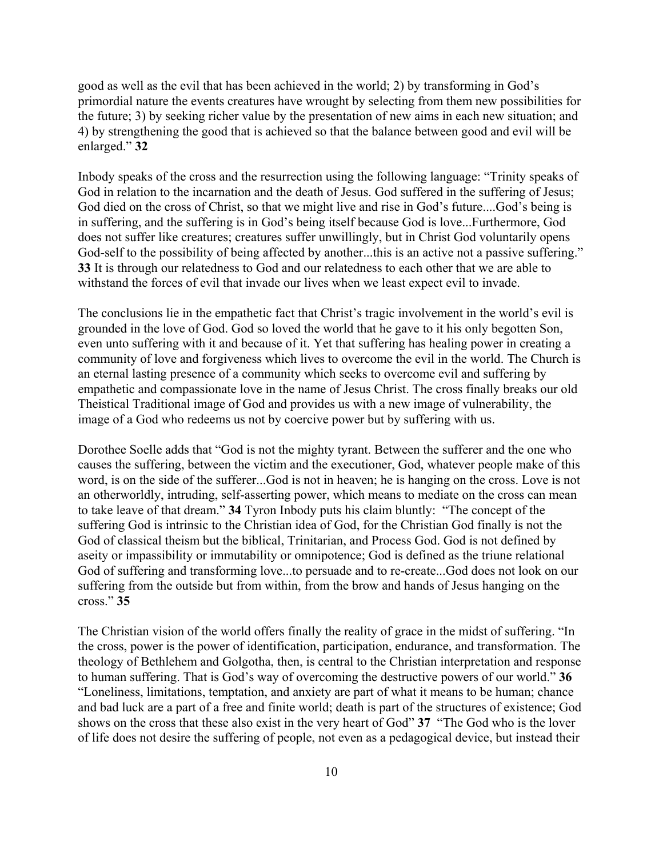good as well as the evil that has been achieved in the world; 2) by transforming in God's primordial nature the events creatures have wrought by selecting from them new possibilities for the future; 3) by seeking richer value by the presentation of new aims in each new situation; and 4) by strengthening the good that is achieved so that the balance between good and evil will be enlarged." **32**

Inbody speaks of the cross and the resurrection using the following language: "Trinity speaks of God in relation to the incarnation and the death of Jesus. God suffered in the suffering of Jesus; God died on the cross of Christ, so that we might live and rise in God's future....God's being is in suffering, and the suffering is in God's being itself because God is love...Furthermore, God does not suffer like creatures; creatures suffer unwillingly, but in Christ God voluntarily opens God-self to the possibility of being affected by another...this is an active not a passive suffering." **33** It is through our relatedness to God and our relatedness to each other that we are able to withstand the forces of evil that invade our lives when we least expect evil to invade.

The conclusions lie in the empathetic fact that Christ's tragic involvement in the world's evil is grounded in the love of God. God so loved the world that he gave to it his only begotten Son, even unto suffering with it and because of it. Yet that suffering has healing power in creating a community of love and forgiveness which lives to overcome the evil in the world. The Church is an eternal lasting presence of a community which seeks to overcome evil and suffering by empathetic and compassionate love in the name of Jesus Christ. The cross finally breaks our old Theistical Traditional image of God and provides us with a new image of vulnerability, the image of a God who redeems us not by coercive power but by suffering with us.

Dorothee Soelle adds that "God is not the mighty tyrant. Between the sufferer and the one who causes the suffering, between the victim and the executioner, God, whatever people make of this word, is on the side of the sufferer...God is not in heaven; he is hanging on the cross. Love is not an otherworldly, intruding, self-asserting power, which means to mediate on the cross can mean to take leave of that dream." **34** Tyron Inbody puts his claim bluntly: "The concept of the suffering God is intrinsic to the Christian idea of God, for the Christian God finally is not the God of classical theism but the biblical, Trinitarian, and Process God. God is not defined by aseity or impassibility or immutability or omnipotence; God is defined as the triune relational God of suffering and transforming love...to persuade and to re-create...God does not look on our suffering from the outside but from within, from the brow and hands of Jesus hanging on the cross." **35**

The Christian vision of the world offers finally the reality of grace in the midst of suffering. "In the cross, power is the power of identification, participation, endurance, and transformation. The theology of Bethlehem and Golgotha, then, is central to the Christian interpretation and response to human suffering. That is God's way of overcoming the destructive powers of our world." **36** "Loneliness, limitations, temptation, and anxiety are part of what it means to be human; chance and bad luck are a part of a free and finite world; death is part of the structures of existence; God shows on the cross that these also exist in the very heart of God" **37** "The God who is the lover of life does not desire the suffering of people, not even as a pedagogical device, but instead their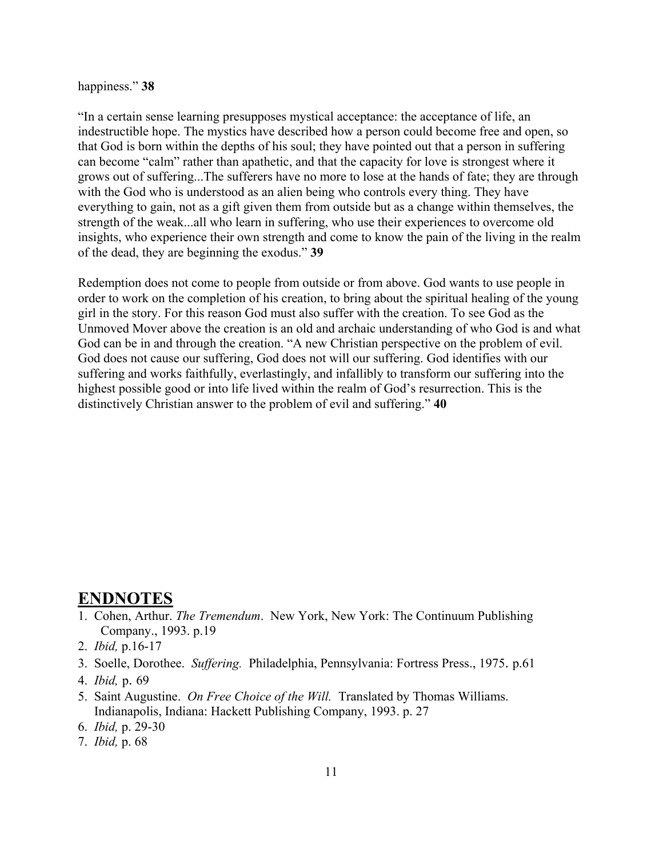#### happiness." **38**

"In a certain sense learning presupposes mystical acceptance: the acceptance of life, an indestructible hope. The mystics have described how a person could become free and open, so that God is born within the depths of his soul; they have pointed out that a person in suffering can become "calm" rather than apathetic, and that the capacity for love is strongest where it grows out of suffering...The sufferers have no more to lose at the hands of fate; they are through with the God who is understood as an alien being who controls every thing. They have everything to gain, not as a gift given them from outside but as a change within themselves, the strength of the weak...all who learn in suffering, who use their experiences to overcome old insights, who experience their own strength and come to know the pain of the living in the realm of the dead, they are beginning the exodus." **39**

Redemption does not come to people from outside or from above. God wants to use people in order to work on the completion of his creation, to bring about the spiritual healing of the young girl in the story. For this reason God must also suffer with the creation. To see God as the Unmoved Mover above the creation is an old and archaic understanding of who God is and what God can be in and through the creation. "A new Christian perspective on the problem of evil. God does not cause our suffering, God does not will our suffering. God identifies with our suffering and works faithfully, everlastingly, and infallibly to transform our suffering into the highest possible good or into life lived within the realm of God's resurrection. This is the distinctively Christian answer to the problem of evil and suffering." **40** 

### **ENDNOTES**

- 1. Cohen, Arthur. *The Tremendum*. New York, New York: The Continuum Publishing Company., 1993. p.19
- 2. *Ibid,* p.16-17
- 3. Soelle, Dorothee. *Suffering.* Philadelphia, Pennsylvania: Fortress Press., 1975. p.61
- 4. *Ibid,* p. 69
- 5. Saint Augustine. *On Free Choice of the Will.* Translated by Thomas Williams. Indianapolis, Indiana: Hackett Publishing Company, 1993. p. 27
- 6. *Ibid,* p. 29-30
- 7. *Ibid,* p. 68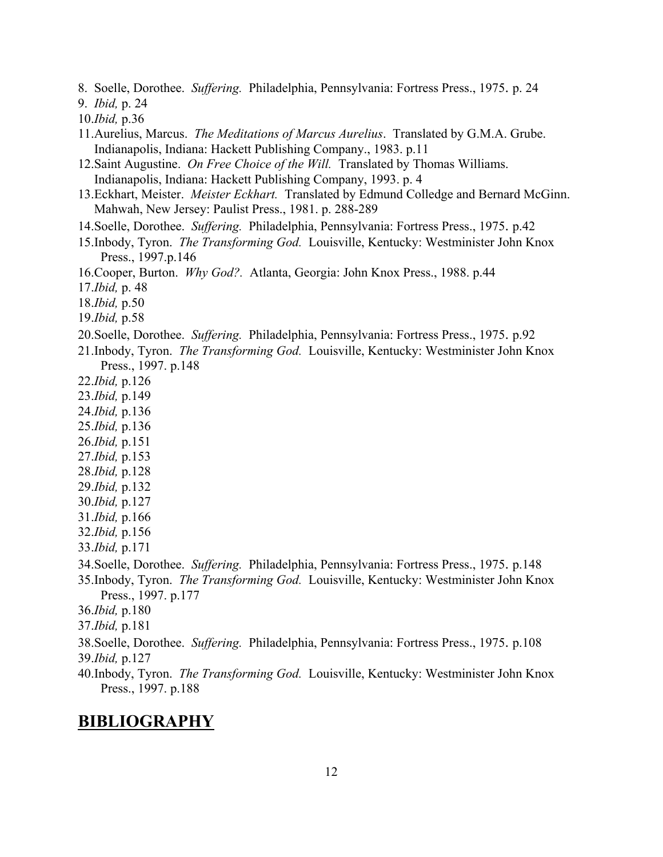- 8. Soelle, Dorothee. *Suffering.* Philadelphia, Pennsylvania: Fortress Press., 1975. p. 24
- 9. *Ibid,* p. 24
- 10.*Ibid,* p.36
- 11.Aurelius, Marcus. *The Meditations of Marcus Aurelius*. Translated by G.M.A. Grube. Indianapolis, Indiana: Hackett Publishing Company., 1983. p.11
- 12.Saint Augustine. *On Free Choice of the Will.* Translated by Thomas Williams. Indianapolis, Indiana: Hackett Publishing Company, 1993. p. 4
- 13.Eckhart, Meister. *Meister Eckhart.* Translated by Edmund Colledge and Bernard McGinn. Mahwah, New Jersey: Paulist Press., 1981. p. 288-289
- 14.Soelle, Dorothee. *Suffering.* Philadelphia, Pennsylvania: Fortress Press., 1975. p.42
- 15.Inbody, Tyron. *The Transforming God.* Louisville, Kentucky: Westminister John Knox Press., 1997.p.146
- 16.Cooper, Burton. *Why God?.* Atlanta, Georgia: John Knox Press., 1988. p.44
- 17.*Ibid,* p. 48
- 18.*Ibid,* p.50
- 19.*Ibid,* p.58
- 20.Soelle, Dorothee. *Suffering.* Philadelphia, Pennsylvania: Fortress Press., 1975. p.92
- 21.Inbody, Tyron. *The Transforming God.* Louisville, Kentucky: Westminister John Knox Press., 1997. p.148
- 22.*Ibid,* p.126
- 23.*Ibid,* p.149
- 24.*Ibid,* p.136
- 25.*Ibid,* p.136
- 26.*Ibid,* p.151
- 27.*Ibid,* p.153
- 28.*Ibid,* p.128
- 29.*Ibid,* p.132
- 30.*Ibid,* p.127
- 31.*Ibid,* p.166
- 32.*Ibid,* p.156
- 33.*Ibid,* p.171
- 34.Soelle, Dorothee. *Suffering.* Philadelphia, Pennsylvania: Fortress Press., 1975. p.148
- 35.Inbody, Tyron. *The Transforming God.* Louisville, Kentucky: Westminister John Knox Press., 1997. p.177
- 36.*Ibid,* p.180
- 37.*Ibid,* p.181
- 38.Soelle, Dorothee. *Suffering.* Philadelphia, Pennsylvania: Fortress Press., 1975. p.108 39.*Ibid,* p.127
- 40.Inbody, Tyron. *The Transforming God.* Louisville, Kentucky: Westminister John Knox Press., 1997. p.188

## **BIBLIOGRAPHY**